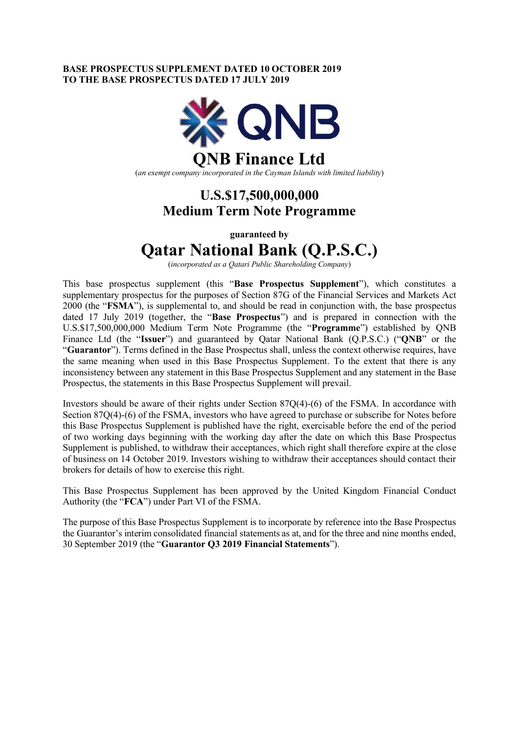### **BASE PROSPECTUS SUPPLEMENT DATED 10 OCTOBER 2019 TO THE BASE PROSPECTUS DATED 17 JULY 2019**



## **QNB Finance Ltd**

(*an exempt company incorporated in the Cayman Islands with limited liability*)

### **U.S.\$17,500,000,000 Medium Term Note Programme**

**guaranteed by**

# **Qatar National Bank (Q.P.S.C.)**

(*incorporated as a Qatari Public Shareholding Company*)

This base prospectus supplement (this "**Base Prospectus Supplement**"), which constitutes a supplementary prospectus for the purposes of Section 87G of the Financial Services and Markets Act 2000 (the "**FSMA**"), is supplemental to, and should be read in conjunction with, the base prospectus dated 17 July 2019 (together, the "**Base Prospectus**") and is prepared in connection with the U.S.\$17,500,000,000 Medium Term Note Programme (the "**Programme**") established by QNB Finance Ltd (the "**Issuer**") and guaranteed by Qatar National Bank (Q.P.S.C.) ("**QNB**" or the "**Guarantor**"). Terms defined in the Base Prospectus shall, unless the context otherwise requires, have the same meaning when used in this Base Prospectus Supplement. To the extent that there is any inconsistency between any statement in this Base Prospectus Supplement and any statement in the Base Prospectus, the statements in this Base Prospectus Supplement will prevail.

Investors should be aware of their rights under Section 87Q(4)-(6) of the FSMA. In accordance with Section 87Q(4)-(6) of the FSMA, investors who have agreed to purchase or subscribe for Notes before this Base Prospectus Supplement is published have the right, exercisable before the end of the period of two working days beginning with the working day after the date on which this Base Prospectus Supplement is published, to withdraw their acceptances, which right shall therefore expire at the close of business on 14 October 2019. Investors wishing to withdraw their acceptances should contact their brokers for details of how to exercise this right.

This Base Prospectus Supplement has been approved by the United Kingdom Financial Conduct Authority (the "**FCA**") under Part VI of the FSMA.

The purpose of this Base Prospectus Supplement is to incorporate by reference into the Base Prospectus the Guarantor's interim consolidated financial statements as at, and for the three and nine months ended, 30 September 2019 (the "**Guarantor Q3 2019 Financial Statements**").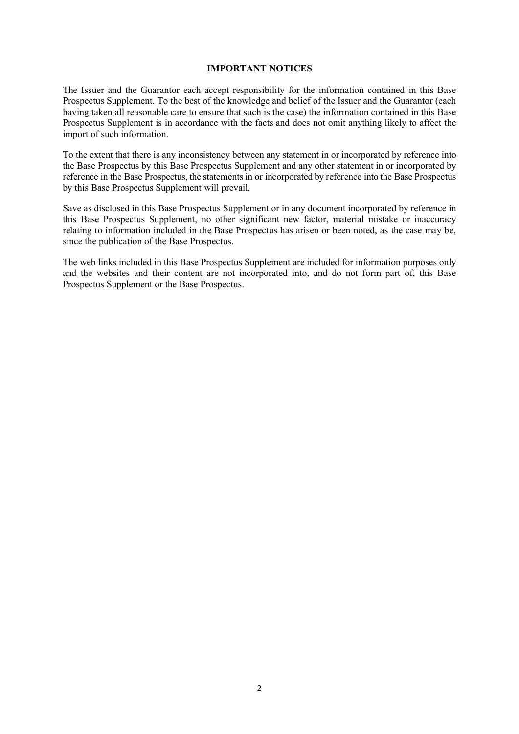### **IMPORTANT NOTICES**

The Issuer and the Guarantor each accept responsibility for the information contained in this Base Prospectus Supplement. To the best of the knowledge and belief of the Issuer and the Guarantor (each having taken all reasonable care to ensure that such is the case) the information contained in this Base Prospectus Supplement is in accordance with the facts and does not omit anything likely to affect the import of such information.

To the extent that there is any inconsistency between any statement in or incorporated by reference into the Base Prospectus by this Base Prospectus Supplement and any other statement in or incorporated by reference in the Base Prospectus, the statements in or incorporated by reference into the Base Prospectus by this Base Prospectus Supplement will prevail.

Save as disclosed in this Base Prospectus Supplement or in any document incorporated by reference in this Base Prospectus Supplement, no other significant new factor, material mistake or inaccuracy relating to information included in the Base Prospectus has arisen or been noted, as the case may be, since the publication of the Base Prospectus.

The web links included in this Base Prospectus Supplement are included for information purposes only and the websites and their content are not incorporated into, and do not form part of, this Base Prospectus Supplement or the Base Prospectus.